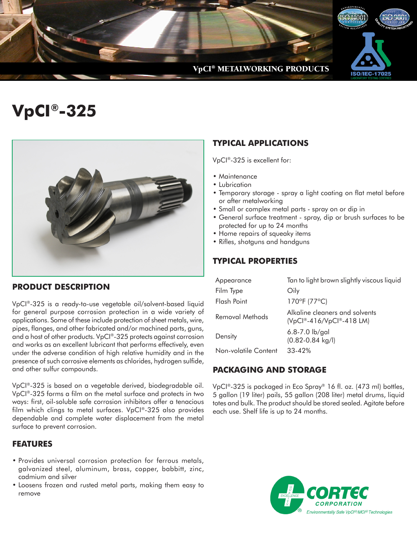

# **VpCI®-325**



#### **PRODUCT DESCRIPTION**

VpCI®-325 is a ready-to-use vegetable oil/solvent-based liquid for general purpose corrosion protection in a wide variety of applications. Some of these include protection of sheet metals, wire, pipes, flanges, and other fabricated and/or machined parts, guns, and a host of other products. VpCI®-325 protects against corrosion and works as an excellent lubricant that performs effectively, even under the adverse condition of high relative humidity and in the presence of such corrosive elements as chlorides, hydrogen sulfide, and other sulfur compounds.

VpCI®-325 is based on a vegetable derived, biodegradable oil. VpCI®-325 forms a film on the metal surface and protects in two ways: first, oil-soluble safe corrosion inhibitors offer a tenacious film which clings to metal surfaces. VpCI®-325 also provides dependable and complete water displacement from the metal surface to prevent corrosion.

#### **FEATURES**

- Provides universal corrosion protection for ferrous metals, galvanized steel, aluminum, brass, copper, babbitt, zinc, cadmium and silver
- Loosens frozen and rusted metal parts, making them easy to remove

# **TYPICAL APPLICATIONS**

VpCI®-325 is excellent for:

- Maintenance
- Lubrication
- Temporary storage spray a light coating on flat metal before or after metalworking
- Small or complex metal parts spray on or dip in
- General surface treatment spray, dip or brush surfaces to be protected for up to 24 months
- Home repairs of squeaky items
- Rifles, shotguns and handguns

### **TYPICAL PROPERTIES**

| Appearance           | Tan to light brown slightly viscous liquid                 |
|----------------------|------------------------------------------------------------|
| Film Type            | Oily                                                       |
| Flash Point          | 170°F (77°C)                                               |
| Removal Methods      | Alkaline cleaners and solvents<br>(VpCl®-416/VpCl®-418 LM) |
| Density              | $6.8 - 7.0$ lb/gal<br>$(0.82 - 0.84$ kg/l)                 |
| Non-volatile Content | 33-42%                                                     |

#### **PACKAGING AND STORAGE**

VpCI®-325 is packaged in Eco Spray® 16 fl. oz. (473 ml) bottles, 5 gallon (19 liter) pails, 55 gallon (208 liter) metal drums, liquid totes and bulk. The product should be stored sealed. Agitate before each use. Shelf life is up to 24 months.